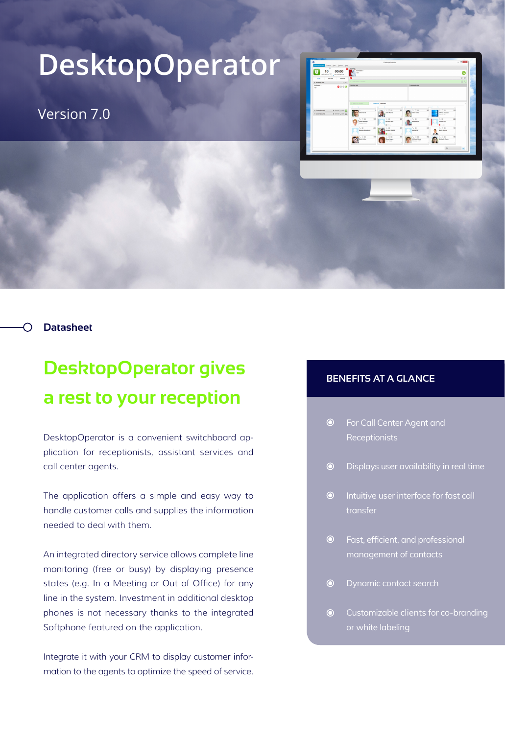## **DesktopOperator**

Version 7.0



**Datasheet**

## **DesktopOperator gives a rest to your reception**

DesktopOperator is a convenient switchboard application for receptionists, assistant services and call center agents.

The application offers a simple and easy way to handle customer calls and supplies the information needed to deal with them.

An integrated directory service allows complete line monitoring (free or busy) by displaying presence states (e.g. In a Meeting or Out of Office) for any line in the system. Investment in additional desktop phones is not necessary thanks to the integrated Softphone featured on the application.

Integrate it with your CRM to display customer information to the agents to optimize the speed of service.

## **BENEFITS AT A GLANCE**

- $\odot$ For Call Center Agent and **Receptionists**
- Displays user availability in real time  $\odot$
- $\odot$ Intuitive user interface for fast call transfer
- Fast, efficient, and professional management of contacts
- $\odot$ Dynamic contact search
- $\odot$ Customizable clients for co-branding or white labeling